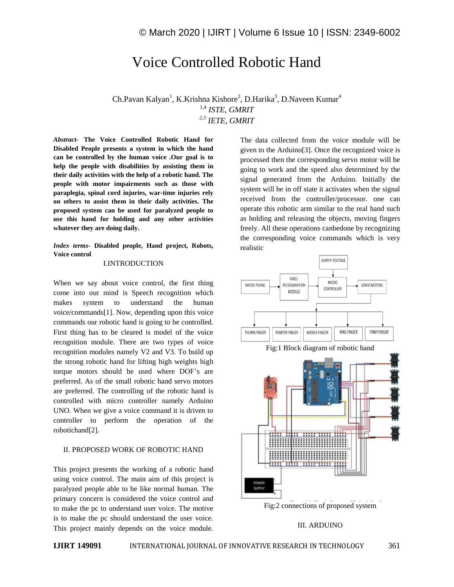# Voice Controlled Robotic Hand

Ch.Pavan Kalyan<sup>1</sup>, K.Krishna Kishore<sup>2</sup>, D.Harika<sup>3</sup>, D.Naveen Kumar<sup>4</sup> 1,4 *ISTE, GMRIT 2,3 IETE, GMRIT*

*Abstract*- **The Voice Controlled Robotic Hand for Disabled People presents a system in which the hand can be controlled by the human voice .Our goal is to help the people with disabilities by assisting them in their daily activities with the help of a robotic hand. The people with motor impairments such as those with paraplegia, spinal cord injuries, war-time injuries rely on others to assist them in their daily activities. The proposed system can be used for paralyzed people to use this hand for holding and any other activities whatever they are doing daily.**

# *Index terms***- Disabled people, Hand project, Robots, Voice control**

#### I.INTRODUCTION

When we say about voice control, the first thing come into our mind is Speech recognition which makes system to understand the human voice/commands[1]. Now, depending upon this voice commands our robotic hand is going to be controlled. First thing has to be cleared is model of the voice recognition module. There are two types of voice recognition modules namely V2 and V3. To build up the strong robotic hand for lifting high weights high torque motors should be used where DOF's are preferred. As of the small robotic hand servo motors are preferred. The controlling of the robotic hand is controlled with micro controller namely Arduino UNO. When we give a voice command it is driven to controller to perform the operation of the robotichand[2].

#### II. PROPOSED WORK OF ROBOTIC HAND

This project presents the working of a robotic hand using voice control. The main aim of this project is paralyzed people able to be like normal human. The primary concern is considered the voice control and to make the pc to understand user voice. The motive is to make the pc should understand the user voice. This project mainly depends on the voice module.

The data collected from the voice module will be given to the Arduino[3]. Once the recognized voice is processed then the corresponding servo motor will be going to work and the speed also determined by the signal generated from the Arduino. Initially the system will be in off state it activates when the signal received from the controller/processor. one can operate this robotic arm similar to the real hand such as holding and releasing the objects, moving fingers freely. All these operations canbedone by recognizing the corresponding voice commands which is very realistic





# III. ARDUINO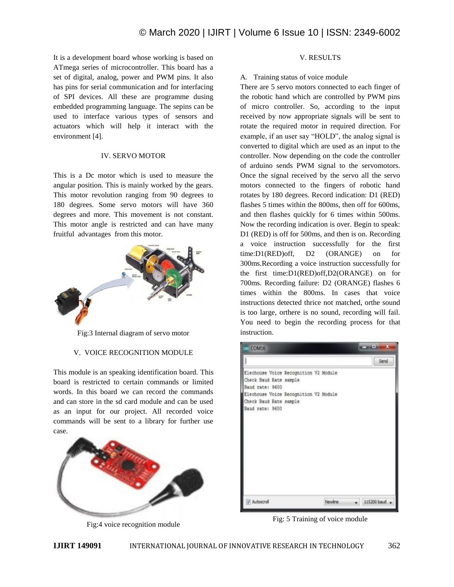It is a development board whose working is based on ATmega series of microcontroller. This board has a set of digital, analog, power and PWM pins. It also has pins for serial communication and for interfacing of SPI devices. All these are programme dusing embedded programming language. The sepins can be used to interface various types of sensors and actuators which will help it interact with the environment [4].

### IV. SERVO MOTOR

This is a Dc motor which is used to measure the angular position. This is mainly worked by the gears. This motor revolution ranging from 90 degrees to 180 degrees. Some servo motors will have 360 degrees and more. This movement is not constant. This motor angle is restricted and can have many fruitful advantages from this motor.



Fig:3 Internal diagram of servo motor

# V. VOICE RECOGNITION MODULE

This module is an speaking identification board. This board is restricted to certain commands or limited words. In this board we can record the commands and can store in the sd card module and can be used as an input for our project. All recorded voice commands will be sent to a library for further use case.



Fig:4 voice recognition module

# V. RESULTS

# A. Training status of voice module

There are 5 servo motors connected to each finger of the robotic hand which are controlled by PWM pins of micro controller. So, according to the input received by now appropriate signals will be sent to rotate the required motor in required direction. For example, if an user say "HOLD", the analog signal is converted to digital which are used as an input to the controller. Now depending on the code the controller of arduino sends PWM signal to the servomotors. Once the signal received by the servo all the servo motors connected to the fingers of robotic hand rotates by 180 degrees. Record indication: D1 (RED) flashes 5 times within the 800ms, then off for 600ms, and then flashes quickly for 6 times within 500ms. Now the recording indication is over. Begin to speak: D1 (RED) is off for 500ms, and then is on. Recording a voice instruction successfully for the first time:D1(RED)off, D2 (ORANGE) on for 300ms.Recording a voice instruction successfully for the first time:D1(RED)off,D2(ORANGE) on for 700ms. Recording failure: D2 (ORANGE) flashes 6 times within the 800ms. In cases that voice instructions detected thrice not matched, orthe sound is too large, orthere is no sound, recording will fail. You need to begin the recording process for that instruction.



Fig: 5 Training of voice module